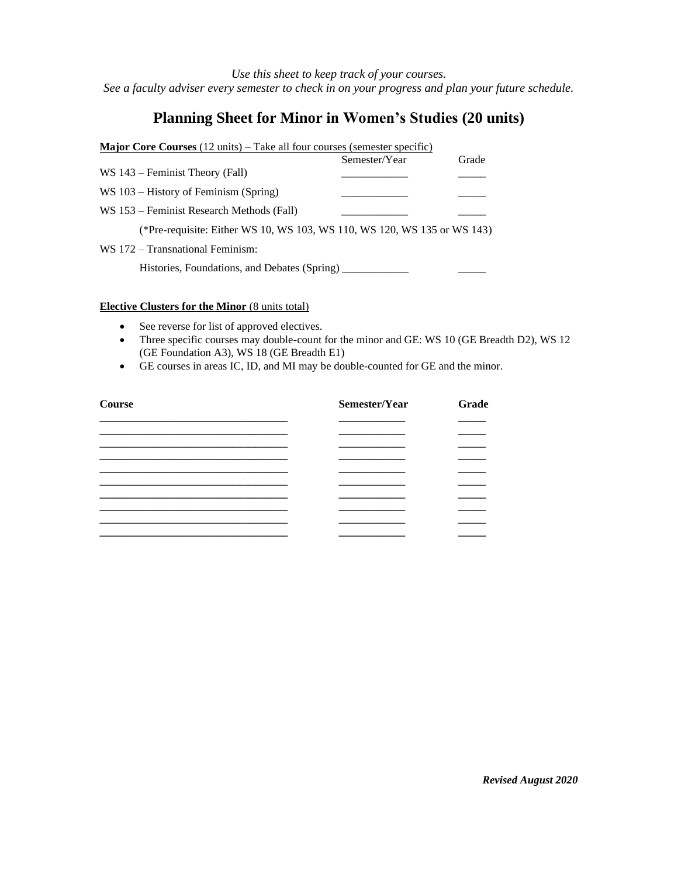*Use this sheet to keep track of your courses. See a faculty adviser every semester to check in on your progress and plan your future schedule.*

## **Planning Sheet for Minor in Women's Studies (20 units)**

| <b>Major Core Courses</b> $(12 \text{ units})$ – Take all four courses (semester specific) |               |       |
|--------------------------------------------------------------------------------------------|---------------|-------|
|                                                                                            | Semester/Year | Grade |
| $WS 143$ – Feminist Theory (Fall)                                                          |               |       |
| $WS 103 - History$ of Feminism (Spring)                                                    |               |       |
| WS 153 – Feminist Research Methods (Fall)                                                  |               |       |
| (*Pre-requisite: Either WS 10, WS 103, WS 110, WS 120, WS 135 or WS 143)                   |               |       |
| WS 172 – Transnational Feminism:                                                           |               |       |
| Histories, Foundations, and Debates (Spring)                                               |               |       |

## **Elective Clusters for the Minor** (8 units total)

- See reverse for list of approved electives.
- Three specific courses may double-count for the minor and GE: WS 10 (GE Breadth D2), WS 12 (GE Foundation A3), WS 18 (GE Breadth E1)
- GE courses in areas IC, ID, and MI may be double-counted for GE and the minor.

| <b>Course</b> | Semester/Year | Grade |
|---------------|---------------|-------|
|               |               |       |
|               |               |       |
|               |               |       |
|               |               |       |
|               |               |       |
|               |               |       |
|               |               |       |
|               |               |       |
|               |               |       |
|               |               |       |